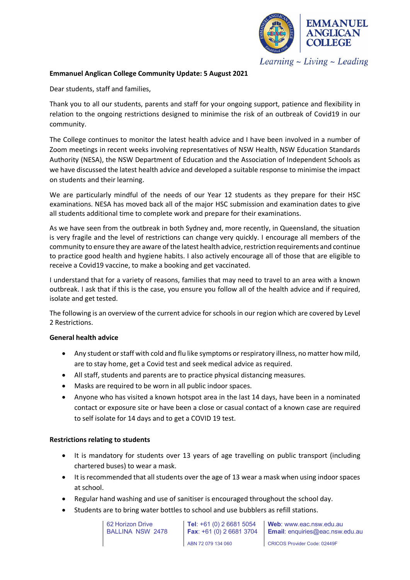

Learning  $\sim$  Living  $\sim$  Leading

#### **Emmanuel Anglican College Community Update: 5 August 2021**

Dear students, staff and families,

Thank you to all our students, parents and staff for your ongoing support, patience and flexibility in relation to the ongoing restrictions designed to minimise the risk of an outbreak of Covid19 in our community.

The College continues to monitor the latest health advice and I have been involved in a number of Zoom meetings in recent weeks involving representatives of NSW Health, NSW Education Standards Authority (NESA), the NSW Department of Education and the Association of Independent Schools as we have discussed the latest health advice and developed a suitable response to minimise the impact on students and their learning.

We are particularly mindful of the needs of our Year 12 students as they prepare for their HSC examinations. NESA has moved back all of the major HSC submission and examination dates to give all students additional time to complete work and prepare for their examinations.

As we have seen from the outbreak in both Sydney and, more recently, in Queensland, the situation is very fragile and the level of restrictions can change very quickly. I encourage all members of the community to ensure they are aware of the latest health advice, restriction requirements and continue to practice good health and hygiene habits. I also actively encourage all of those that are eligible to receive a Covid19 vaccine, to make a booking and get vaccinated.

I understand that for a variety of reasons, families that may need to travel to an area with a known outbreak. I ask that if this is the case, you ensure you follow all of the health advice and if required, isolate and get tested.

The following is an overview of the current advice for schools in our region which are covered by Level 2 Restrictions.

### **General health advice**

- Any student or staff with cold and flu like symptoms or respiratory illness, no matter how mild, are to stay home, get a Covid test and seek medical advice as required.
- All staff, students and parents are to practice physical distancing measures.
- Masks are required to be worn in all public indoor spaces.
- Anyone who has visited a known hotspot area in the last 14 days, have been in a nominated contact or exposure site or have been a close or casual contact of a known case are required to self isolate for 14 days and to get a COVID 19 test.

#### **Restrictions relating to students**

- It is mandatory for students over 13 years of age travelling on public transport (including chartered buses) to wear a mask.
- It is recommended that all students over the age of 13 wear a mask when using indoor spaces at school.
- Regular hand washing and use of sanitiser is encouraged throughout the school day.
- Students are to bring water bottles to school and use bubblers as refill stations.